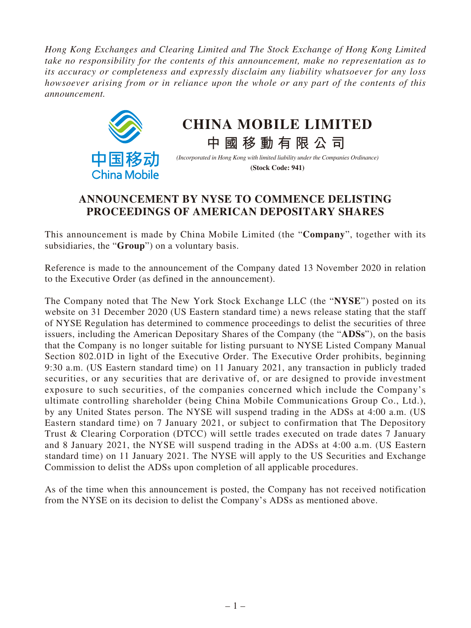*Hong Kong Exchanges and Clearing Limited and The Stock Exchange of Hong Kong Limited take no responsibility for the contents of this announcement, make no representation as to its accuracy or completeness and expressly disclaim any liability whatsoever for any loss howsoever arising from or in reliance upon the whole or any part of the contents of this announcement.*



## **CHINA MOBILE LIMITED**

*(Incorporated in Hong Kong with limited liability under the Companies Ordinance)* **(Stock Code: 941)**

**中國移動有限公司**

## **ANNOUNCEMENT BY NYSE TO COMMENCE DELISTING PROCEEDINGS OF AMERICAN DEPOSITARY SHARES**

This announcement is made by China Mobile Limited (the "**Company**", together with its subsidiaries, the "**Group**") on a voluntary basis.

Reference is made to the announcement of the Company dated 13 November 2020 in relation to the Executive Order (as defined in the announcement).

The Company noted that The New York Stock Exchange LLC (the "**NYSE**") posted on its website on 31 December 2020 (US Eastern standard time) a news release stating that the staff of NYSE Regulation has determined to commence proceedings to delist the securities of three issuers, including the American Depositary Shares of the Company (the "**ADSs**"), on the basis that the Company is no longer suitable for listing pursuant to NYSE Listed Company Manual Section 802.01D in light of the Executive Order. The Executive Order prohibits, beginning 9:30 a.m. (US Eastern standard time) on 11 January 2021, any transaction in publicly traded securities, or any securities that are derivative of, or are designed to provide investment exposure to such securities, of the companies concerned which include the Company's ultimate controlling shareholder (being China Mobile Communications Group Co., Ltd.), by any United States person. The NYSE will suspend trading in the ADSs at 4:00 a.m. (US Eastern standard time) on 7 January 2021, or subject to confirmation that The Depository Trust & Clearing Corporation (DTCC) will settle trades executed on trade dates 7 January and 8 January 2021, the NYSE will suspend trading in the ADSs at 4:00 a.m. (US Eastern standard time) on 11 January 2021. The NYSE will apply to the US Securities and Exchange Commission to delist the ADSs upon completion of all applicable procedures.

As of the time when this announcement is posted, the Company has not received notification from the NYSE on its decision to delist the Company's ADSs as mentioned above.